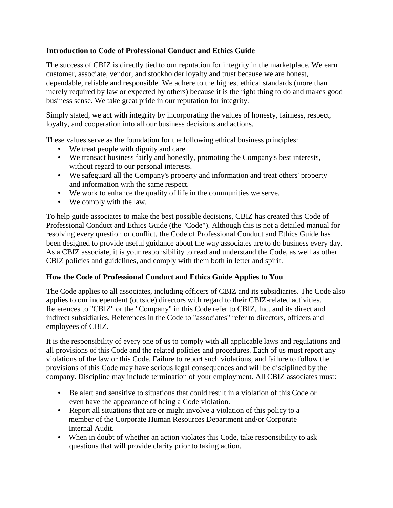## **Introduction to Code of Professional Conduct and Ethics Guide**

The success of CBIZ is directly tied to our reputation for integrity in the marketplace. We earn customer, associate, vendor, and stockholder loyalty and trust because we are honest, dependable, reliable and responsible. We adhere to the highest ethical standards (more than merely required by law or expected by others) because it is the right thing to do and makes good business sense. We take great pride in our reputation for integrity.

Simply stated, we act with integrity by incorporating the values of honesty, fairness, respect, loyalty, and cooperation into all our business decisions and actions.

These values serve as the foundation for the following ethical business principles:

- We treat people with dignity and care.
- We transact business fairly and honestly, promoting the Company's best interests, without regard to our personal interests.
- We safeguard all the Company's property and information and treat others' property and information with the same respect.
- We work to enhance the quality of life in the communities we serve.
- We comply with the law.

To help guide associates to make the best possible decisions, CBIZ has created this Code of Professional Conduct and Ethics Guide (the "Code"). Although this is not a detailed manual for resolving every question or conflict, the Code of Professional Conduct and Ethics Guide has been designed to provide useful guidance about the way associates are to do business every day. As a CBIZ associate, it is your responsibility to read and understand the Code, as well as other CBIZ policies and guidelines, and comply with them both in letter and spirit.

### **How the Code of Professional Conduct and Ethics Guide Applies to You**

The Code applies to all associates, including officers of CBIZ and its subsidiaries. The Code also applies to our independent (outside) directors with regard to their CBIZ-related activities. References to "CBIZ" or the "Company" in this Code refer to CBIZ, Inc. and its direct and indirect subsidiaries. References in the Code to "associates" refer to directors, officers and employees of CBIZ.

It is the responsibility of every one of us to comply with all applicable laws and regulations and all provisions of this Code and the related policies and procedures. Each of us must report any violations of the law or this Code. Failure to report such violations, and failure to follow the provisions of this Code may have serious legal consequences and will be disciplined by the company. Discipline may include termination of your employment. All CBIZ associates must:

- Be alert and sensitive to situations that could result in a violation of this Code or even have the appearance of being a Code violation.
- Report all situations that are or might involve a violation of this policy to a member of the Corporate Human Resources Department and/or Corporate Internal Audit.
- When in doubt of whether an action violates this Code, take responsibility to ask questions that will provide clarity prior to taking action.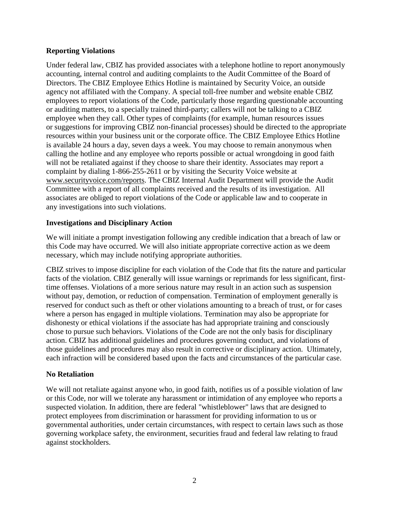#### **Reporting Violations**

Under federal law, CBIZ has provided associates with a telephone hotline to report anonymously accounting, internal control and auditing complaints to the Audit Committee of the Board of Directors. The CBIZ Employee Ethics Hotline is maintained by Security Voice, an outside agency not affiliated with the Company. A special toll-free number and website enable CBIZ employees to report violations of the Code, particularly those regarding questionable accounting or auditing matters, to a specially trained third-party; callers will not be talking to a CBIZ employee when they call. Other types of complaints (for example, human resources issues or suggestions for improving CBIZ non-financial processes) should be directed to the appropriate resources within your business unit or the corporate office. The CBIZ Employee Ethics Hotline is available 24 hours a day, seven days a week. You may choose to remain anonymous when calling the hotline and any employee who reports possible or actual wrongdoing in good faith will not be retaliated against if they choose to share their identity. Associates may report a complaint by dialing 1-866-255-2611 or by visiting the Security Voice website at [www.securityvoice.com/reports.](http://www.securityvoice.com/reports) The CBIZ Internal Audit Department will provide the Audit Committee with a report of all complaints received and the results of its investigation. All associates are obliged to report violations of the Code or applicable law and to cooperate in any investigations into such violations.

#### **Investigations and Disciplinary Action**

We will initiate a prompt investigation following any credible indication that a breach of law or this Code may have occurred. We will also initiate appropriate corrective action as we deem necessary, which may include notifying appropriate authorities.

CBIZ strives to impose discipline for each violation of the Code that fits the nature and particular facts of the violation. CBIZ generally will issue warnings or reprimands for less significant, firsttime offenses. Violations of a more serious nature may result in an action such as suspension without pay, demotion, or reduction of compensation. Termination of employment generally is reserved for conduct such as theft or other violations amounting to a breach of trust, or for cases where a person has engaged in multiple violations. Termination may also be appropriate for dishonesty or ethical violations if the associate has had appropriate training and consciously chose to pursue such behaviors. Violations of the Code are not the only basis for disciplinary action. CBIZ has additional guidelines and procedures governing conduct, and violations of those guidelines and procedures may also result in corrective or disciplinary action. Ultimately, each infraction will be considered based upon the facts and circumstances of the particular case.

### **No Retaliation**

We will not retaliate against anyone who, in good faith, notifies us of a possible violation of law or this Code, nor will we tolerate any harassment or intimidation of any employee who reports a suspected violation. In addition, there are federal "whistleblower" laws that are designed to protect employees from discrimination or harassment for providing information to us or governmental authorities, under certain circumstances, with respect to certain laws such as those governing workplace safety, the environment, securities fraud and federal law relating to fraud against stockholders.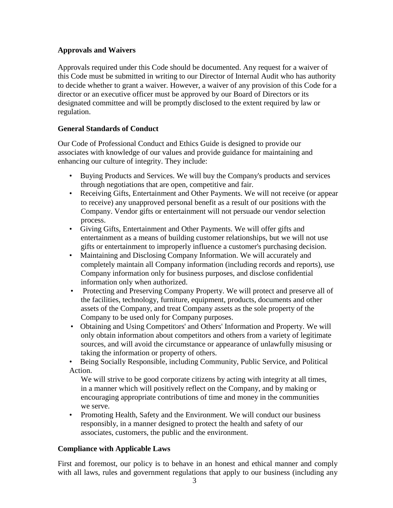## **Approvals and Waivers**

Approvals required under this Code should be documented. Any request for a waiver of this Code must be submitted in writing to our Director of Internal Audit who has authority to decide whether to grant a waiver. However, a waiver of any provision of this Code for a director or an executive officer must be approved by our Board of Directors or its designated committee and will be promptly disclosed to the extent required by law or regulation.

## **General Standards of Conduct**

Our Code of Professional Conduct and Ethics Guide is designed to provide our associates with knowledge of our values and provide guidance for maintaining and enhancing our culture of integrity. They include:

- Buying Products and Services. We will buy the Company's products and services through negotiations that are open, competitive and fair.
- Receiving Gifts, Entertainment and Other Payments. We will not receive (or appear to receive) any unapproved personal benefit as a result of our positions with the Company. Vendor gifts or entertainment will not persuade our vendor selection process.
- Giving Gifts, Entertainment and Other Payments. We will offer gifts and entertainment as a means of building customer relationships, but we will not use gifts or entertainment to improperly influence a customer's purchasing decision.
- Maintaining and Disclosing Company Information. We will accurately and completely maintain all Company information (including records and reports), use Company information only for business purposes, and disclose confidential information only when authorized.
- Protecting and Preserving Company Property. We will protect and preserve all of the facilities, technology, furniture, equipment, products, documents and other assets of the Company, and treat Company assets as the sole property of the Company to be used only for Company purposes.
- Obtaining and Using Competitors' and Others' Information and Property. We will only obtain information about competitors and others from a variety of legitimate sources, and will avoid the circumstance or appearance of unlawfully misusing or taking the information or property of others.

• Being Socially Responsible, including Community, Public Service, and Political Action.

We will strive to be good corporate citizens by acting with integrity at all times, in a manner which will positively reflect on the Company, and by making or encouraging appropriate contributions of time and money in the communities we serve.

• Promoting Health, Safety and the Environment. We will conduct our business responsibly, in a manner designed to protect the health and safety of our associates, customers, the public and the environment.

# **Compliance with Applicable Laws**

First and foremost, our policy is to behave in an honest and ethical manner and comply with all laws, rules and government regulations that apply to our business (including any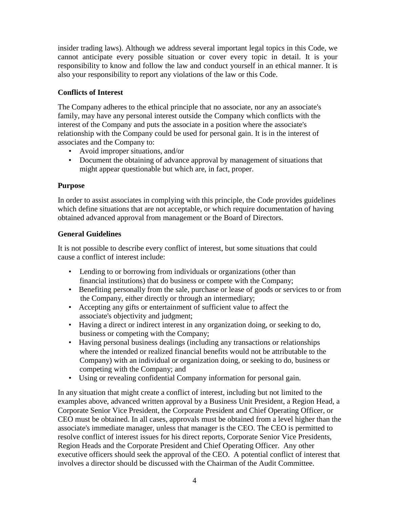insider trading laws). Although we address several important legal topics in this Code, we cannot anticipate every possible situation or cover every topic in detail. It is your responsibility to know and follow the law and conduct yourself in an ethical manner. It is also your responsibility to report any violations of the law or this Code.

# **Conflicts of Interest**

The Company adheres to the ethical principle that no associate, nor any an associate's family, may have any personal interest outside the Company which conflicts with the interest of the Company and puts the associate in a position where the associate's relationship with the Company could be used for personal gain. It is in the interest of associates and the Company to:

- Avoid improper situations, and/or
- Document the obtaining of advance approval by management of situations that might appear questionable but which are, in fact, proper.

# **Purpose**

In order to assist associates in complying with this principle, the Code provides guidelines which define situations that are not acceptable, or which require documentation of having obtained advanced approval from management or the Board of Directors.

### **General Guidelines**

It is not possible to describe every conflict of interest, but some situations that could cause a conflict of interest include:

- Lending to or borrowing from individuals or organizations (other than financial institutions) that do business or compete with the Company;
- Benefiting personally from the sale, purchase or lease of goods or services to or from the Company, either directly or through an intermediary;
- Accepting any gifts or entertainment of sufficient value to affect the associate's objectivity and judgment;
- Having a direct or indirect interest in any organization doing, or seeking to do, business or competing with the Company;
- Having personal business dealings (including any transactions or relationships where the intended or realized financial benefits would not be attributable to the Company) with an individual or organization doing, or seeking to do, business or competing with the Company; and
- Using or revealing confidential Company information for personal gain.

In any situation that might create a conflict of interest, including but not limited to the examples above, advanced written approval by a Business Unit President, a Region Head, a Corporate Senior Vice President, the Corporate President and Chief Operating Officer, or CEO must be obtained. In all cases, approvals must be obtained from a level higher than the associate's immediate manager, unless that manager is the CEO. The CEO is permitted to resolve conflict of interest issues for his direct reports, Corporate Senior Vice Presidents, Region Heads and the Corporate President and Chief Operating Officer. Any other executive officers should seek the approval of the CEO. A potential conflict of interest that involves a director should be discussed with the Chairman of the Audit Committee.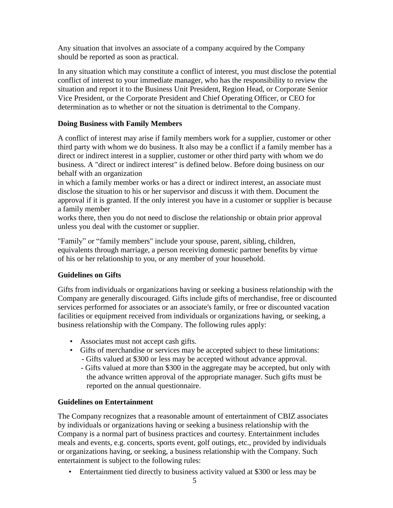Any situation that involves an associate of a company acquired by the Company should be reported as soon as practical.

In any situation which may constitute a conflict of interest, you must disclose the potential conflict of interest to your immediate manager, who has the responsibility to review the situation and report it to the Business Unit President, Region Head, or Corporate Senior Vice President, or the Corporate President and Chief Operating Officer, or CEO for determination as to whether or not the situation is detrimental to the Company.

# **Doing Business with Family Members**

A conflict of interest may arise if family members work for a supplier, customer or other third party with whom we do business. It also may be a conflict if a family member has a direct or indirect interest in a supplier, customer or other third party with whom we do business. A "direct or indirect interest" is defined below. Before doing business on our behalf with an organization

in which a family member works or has a direct or indirect interest, an associate must disclose the situation to his or her supervisor and discuss it with them. Document the approval if it is granted. If the only interest you have in a customer or supplier is because a family member

works there, then you do not need to disclose the relationship or obtain prior approval unless you deal with the customer or supplier.

"Family" or "family members" include your spouse, parent, sibling, children, equivalents through marriage, a person receiving domestic partner benefits by virtue of his or her relationship to you, or any member of your household.

# **Guidelines on Gifts**

Gifts from individuals or organizations having or seeking a business relationship with the Company are generally discouraged. Gifts include gifts of merchandise, free or discounted services performed for associates or an associate's family, or free or discounted vacation facilities or equipment received from individuals or organizations having, or seeking, a business relationship with the Company. The following rules apply:

- Associates must not accept cash gifts.
- Gifts of merchandise or services may be accepted subject to these limitations:
	- Gifts valued at \$300 or less may be accepted without advance approval.
	- Gifts valued at more than \$300 in the aggregate may be accepted, but only with the advance written approval of the appropriate manager. Such gifts must be reported on the annual questionnaire.

# **Guidelines on Entertainment**

The Company recognizes that a reasonable amount of entertainment of CBIZ associates by individuals or organizations having or seeking a business relationship with the Company is a normal part of business practices and courtesy. Entertainment includes meals and events, e.g. concerts, sports event, golf outings, etc., provided by individuals or organizations having, or seeking, a business relationship with the Company. Such entertainment is subject to the following rules:

• Entertainment tied directly to business activity valued at \$300 or less may be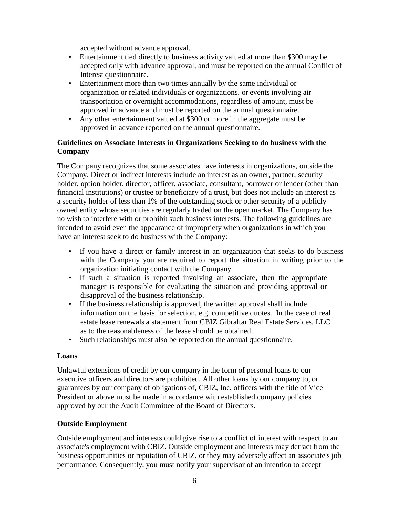accepted without advance approval.

- Entertainment tied directly to business activity valued at more than \$300 may be accepted only with advance approval, and must be reported on the annual Conflict of Interest questionnaire.
- Entertainment more than two times annually by the same individual or organization or related individuals or organizations, or events involving air transportation or overnight accommodations, regardless of amount, must be approved in advance and must be reported on the annual questionnaire.
- Any other entertainment valued at \$300 or more in the aggregate must be approved in advance reported on the annual questionnaire.

## **Guidelines on Associate Interests in Organizations Seeking to do business with the Company**

The Company recognizes that some associates have interests in organizations, outside the Company. Direct or indirect interests include an interest as an owner, partner, security holder, option holder, director, officer, associate, consultant, borrower or lender (other than financial institutions) or trustee or beneficiary of a trust, but does not include an interest as a security holder of less than 1% of the outstanding stock or other security of a publicly owned entity whose securities are regularly traded on the open market. The Company has no wish to interfere with or prohibit such business interests. The following guidelines are intended to avoid even the appearance of impropriety when organizations in which you have an interest seek to do business with the Company:

- If you have a direct or family interest in an organization that seeks to do business with the Company you are required to report the situation in writing prior to the organization initiating contact with the Company.
- If such a situation is reported involving an associate, then the appropriate manager is responsible for evaluating the situation and providing approval or disapproval of the business relationship.
- If the business relationship is approved, the written approval shall include information on the basis for selection, e.g. competitive quotes. In the case of real estate lease renewals a statement from CBIZ Gibraltar Real Estate Services, LLC as to the reasonableness of the lease should be obtained.
- Such relationships must also be reported on the annual questionnaire.

#### **Loans**

Unlawful extensions of credit by our company in the form of personal loans to our executive officers and directors are prohibited. All other loans by our company to, or guarantees by our company of obligations of, CBIZ, Inc. officers with the title of Vice President or above must be made in accordance with established company policies approved by our the Audit Committee of the Board of Directors.

### **Outside Employment**

Outside employment and interests could give rise to a conflict of interest with respect to an associate's employment with CBIZ. Outside employment and interests may detract from the business opportunities or reputation of CBIZ, or they may adversely affect an associate's job performance. Consequently, you must notify your supervisor of an intention to accept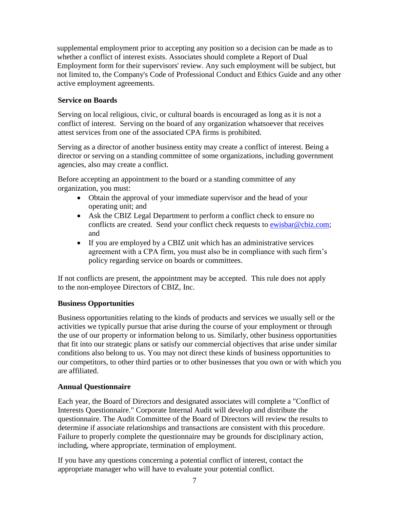supplemental employment prior to accepting any position so a decision can be made as to whether a conflict of interest exists. Associates should complete a Report of Dual Employment form for their supervisors' review. Any such employment will be subject, but not limited to, the Company's Code of Professional Conduct and Ethics Guide and any other active employment agreements.

# **Service on Boards**

Serving on local religious, civic, or cultural boards is encouraged as long as it is not a conflict of interest. Serving on the board of any organization whatsoever that receives attest services from one of the associated CPA firms is prohibited.

Serving as a director of another business entity may create a conflict of interest. Being a director or serving on a standing committee of some organizations, including government agencies, also may create a conflict.

Before accepting an appointment to the board or a standing committee of any organization, you must:

- Obtain the approval of your immediate supervisor and the head of your operating unit; and
- Ask the CBIZ Legal Department to perform a conflict check to ensure no conflicts are created. Send your conflict check requests to [ewisbar@cbiz.com;](mailto:ewisbar@cbiz.com) and
- If you are employed by a CBIZ unit which has an administrative services agreement with a CPA firm, you must also be in compliance with such firm's policy regarding service on boards or committees.

If not conflicts are present, the appointment may be accepted. This rule does not apply to the non-employee Directors of CBIZ, Inc.

### **Business Opportunities**

Business opportunities relating to the kinds of products and services we usually sell or the activities we typically pursue that arise during the course of your employment or through the use of our property or information belong to us. Similarly, other business opportunities that fit into our strategic plans or satisfy our commercial objectives that arise under similar conditions also belong to us. You may not direct these kinds of business opportunities to our competitors, to other third parties or to other businesses that you own or with which you are affiliated.

### **Annual Questionnaire**

Each year, the Board of Directors and designated associates will complete a "Conflict of Interests Questionnaire." Corporate Internal Audit will develop and distribute the questionnaire. The Audit Committee of the Board of Directors will review the results to determine if associate relationships and transactions are consistent with this procedure. Failure to properly complete the questionnaire may be grounds for disciplinary action, including, where appropriate, termination of employment.

If you have any questions concerning a potential conflict of interest, contact the appropriate manager who will have to evaluate your potential conflict.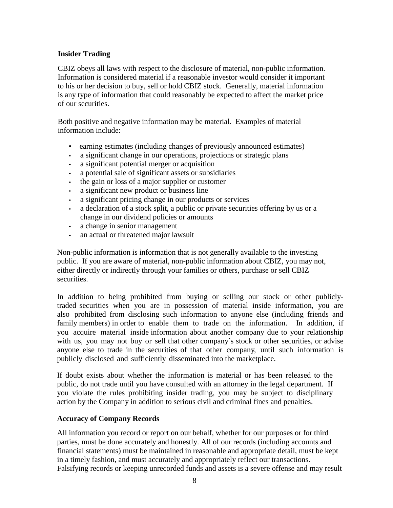## **Insider Trading**

CBIZ obeys all laws with respect to the disclosure of material, non-public information. Information is considered material if a reasonable investor would consider it important to his or her decision to buy, sell or hold CBIZ stock. Generally, material information is any type of information that could reasonably be expected to affect the market price of our securities.

Both positive and negative information may be material. Examples of material information include:

- earning estimates (including changes of previously announced estimates)
- a significant change in our operations, projections or strategic plans
- a significant potential merger or acquisition
- a potential sale of significant assets or subsidiaries
- the gain or loss of a major supplier or customer
- a significant new product or business line
- a significant pricing change in our products or services
- a declaration of a stock split, a public or private securities offering by us or a change in our dividend policies or amounts
- a change in senior management
- an actual or threatened major lawsuit

Non-public information is information that is not generally available to the investing public. If you are aware of material, non-public information about CBIZ, you may not, either directly or indirectly through your families or others, purchase or sell CBIZ securities.

In addition to being prohibited from buying or selling our stock or other publiclytraded securities when you are in possession of material inside information, you are also prohibited from disclosing such information to anyone else (including friends and family members) in order to enable them to trade on the information. In addition, if you acquire material inside information about another company due to your relationship with us, you may not buy or sell that other company's stock or other securities, or advise anyone else to trade in the securities of that other company, until such information is publicly disclosed and sufficiently disseminated into the marketplace.

If doubt exists about whether the information is material or has been released to the public, do not trade until you have consulted with an attorney in the legal department. If you violate the rules prohibiting insider trading, you may be subject to disciplinary action by the Company in addition to serious civil and criminal fines and penalties.

### **Accuracy of Company Records**

All information you record or report on our behalf, whether for our purposes or for third parties, must be done accurately and honestly. All of our records (including accounts and financial statements) must be maintained in reasonable and appropriate detail, must be kept in a timely fashion, and must accurately and appropriately reflect our transactions. Falsifying records or keeping unrecorded funds and assets is a severe offense and may result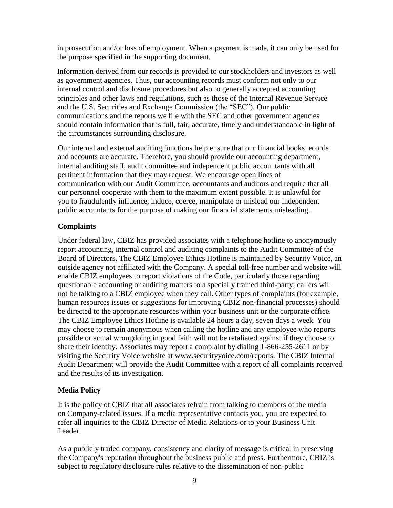in prosecution and/or loss of employment. When a payment is made, it can only be used for the purpose specified in the supporting document.

Information derived from our records is provided to our stockholders and investors as well as government agencies. Thus, our accounting records must conform not only to our internal control and disclosure procedures but also to generally accepted accounting principles and other laws and regulations, such as those of the Internal Revenue Service and the U.S. Securities and Exchange Commission (the "SEC"). Our public communications and the reports we file with the SEC and other government agencies should contain information that is full, fair, accurate, timely and understandable in light of the circumstances surrounding disclosure.

Our internal and external auditing functions help ensure that our financial books, ecords and accounts are accurate. Therefore, you should provide our accounting department, internal auditing staff, audit committee and independent public accountants with all pertinent information that they may request. We encourage open lines of communication with our Audit Committee, accountants and auditors and require that all our personnel cooperate with them to the maximum extent possible. It is unlawful for you to fraudulently influence, induce, coerce, manipulate or mislead our independent public accountants for the purpose of making our financial statements misleading.

### **Complaints**

Under federal law, CBIZ has provided associates with a telephone hotline to anonymously report accounting, internal control and auditing complaints to the Audit Committee of the Board of Directors. The CBIZ Employee Ethics Hotline is maintained by Security Voice, an outside agency not affiliated with the Company. A special toll-free number and website will enable CBIZ employees to report violations of the Code, particularly those regarding questionable accounting or auditing matters to a specially trained third-party; callers will not be talking to a CBIZ employee when they call. Other types of complaints (for example, human resources issues or suggestions for improving CBIZ non-financial processes) should be directed to the appropriate resources within your business unit or the corporate office. The CBIZ Employee Ethics Hotline is available 24 hours a day, seven days a week. You may choose to remain anonymous when calling the hotline and any employee who reports possible or actual wrongdoing in good faith will not be retaliated against if they choose to share their identity. Associates may report a complaint by dialing 1-866-255-2611 or by visiting the Security Voice website at [www.securityyoice.com/reports.](http://www.securityyoice.com/reports) The CBIZ Internal Audit Department will provide the Audit Committee with a report of all complaints received and the results of its investigation.

### **Media Policy**

It is the policy of CBIZ that all associates refrain from talking to members of the media on Company-related issues. If a media representative contacts you, you are expected to refer all inquiries to the CBIZ Director of Media Relations or to your Business Unit Leader.

As a publicly traded company, consistency and clarity of message is critical in preserving the Company's reputation throughout the business public and press. Furthermore, CBIZ is subject to regulatory disclosure rules relative to the dissemination of non-public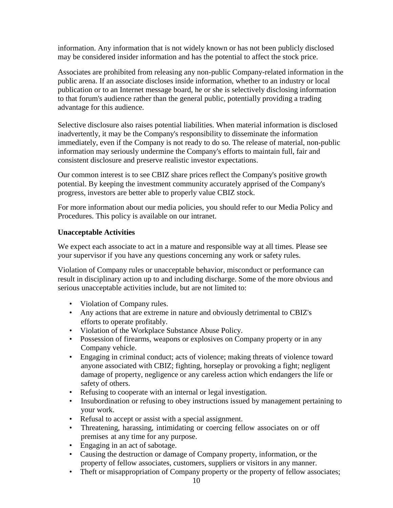information. Any information that is not widely known or has not been publicly disclosed may be considered insider information and has the potential to affect the stock price.

Associates are prohibited from releasing any non-public Company-related information in the public arena. If an associate discloses inside information, whether to an industry or local publication or to an Internet message board, he or she is selectively disclosing information to that forum's audience rather than the general public, potentially providing a trading advantage for this audience.

Selective disclosure also raises potential liabilities. When material information is disclosed inadvertently, it may be the Company's responsibility to disseminate the information immediately, even if the Company is not ready to do so. The release of material, non-public information may seriously undermine the Company's efforts to maintain full, fair and consistent disclosure and preserve realistic investor expectations.

Our common interest is to see CBIZ share prices reflect the Company's positive growth potential. By keeping the investment community accurately apprised of the Company's progress, investors are better able to properly value CBIZ stock.

For more information about our media policies, you should refer to our Media Policy and Procedures. This policy is available on our intranet.

### **Unacceptable Activities**

We expect each associate to act in a mature and responsible way at all times. Please see your supervisor if you have any questions concerning any work or safety rules.

Violation of Company rules or unacceptable behavior, misconduct or performance can result in disciplinary action up to and including discharge. Some of the more obvious and serious unacceptable activities include, but are not limited to:

- Violation of Company rules.
- Any actions that are extreme in nature and obviously detrimental to CBIZ's efforts to operate profitably.
- Violation of the Workplace Substance Abuse Policy.
- Possession of firearms, weapons or explosives on Company property or in any Company vehicle.
- Engaging in criminal conduct; acts of violence; making threats of violence toward anyone associated with CBIZ; fighting, horseplay or provoking a fight; negligent damage of property, negligence or any careless action which endangers the life or safety of others.
- Refusing to cooperate with an internal or legal investigation.
- Insubordination or refusing to obey instructions issued by management pertaining to your work.
- Refusal to accept or assist with a special assignment.
- Threatening, harassing, intimidating or coercing fellow associates on or off premises at any time for any purpose.
- Engaging in an act of sabotage.
- Causing the destruction or damage of Company property, information, or the property of fellow associates, customers, suppliers or visitors in any manner.
- Theft or misappropriation of Company property or the property of fellow associates;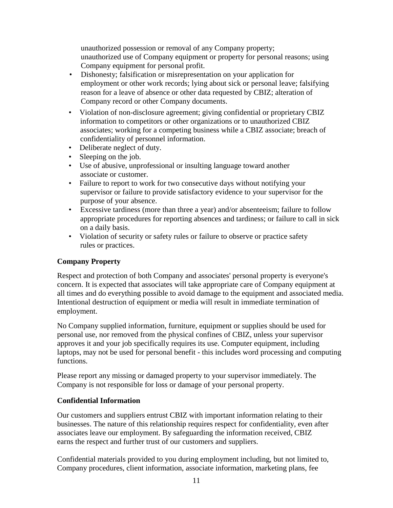unauthorized possession or removal of any Company property; unauthorized use of Company equipment or property for personal reasons; using Company equipment for personal profit.

- Dishonesty; falsification or misrepresentation on your application for employment or other work records; lying about sick or personal leave; falsifying reason for a leave of absence or other data requested by CBIZ; alteration of Company record or other Company documents.
- Violation of non-disclosure agreement; giving confidential or proprietary CBIZ information to competitors or other organizations or to unauthorized CBIZ associates; working for a competing business while a CBIZ associate; breach of confidentiality of personnel information.
- Deliberate neglect of duty.
- Sleeping on the job.
- Use of abusive, unprofessional or insulting language toward another associate or customer.
- Failure to report to work for two consecutive days without notifying your supervisor or failure to provide satisfactory evidence to your supervisor for the purpose of your absence.
- Excessive tardiness (more than three a year) and/or absenteeism; failure to follow appropriate procedures for reporting absences and tardiness; or failure to call in sick on a daily basis.
- Violation of security or safety rules or failure to observe or practice safety rules or practices.

### **Company Property**

Respect and protection of both Company and associates' personal property is everyone's concern. It is expected that associates will take appropriate care of Company equipment at all times and do everything possible to avoid damage to the equipment and associated media. Intentional destruction of equipment or media will result in immediate termination of employment.

No Company supplied information, furniture, equipment or supplies should be used for personal use, nor removed from the physical confines of CBIZ, unless your supervisor approves it and your job specifically requires its use. Computer equipment, including laptops, may not be used for personal benefit - this includes word processing and computing functions.

Please report any missing or damaged property to your supervisor immediately. The Company is not responsible for loss or damage of your personal property.

#### **Confidential Information**

Our customers and suppliers entrust CBIZ with important information relating to their businesses. The nature of this relationship requires respect for confidentiality, even after associates leave our employment. By safeguarding the information received, CBIZ earns the respect and further trust of our customers and suppliers.

Confidential materials provided to you during employment including, but not limited to, Company procedures, client information, associate information, marketing plans, fee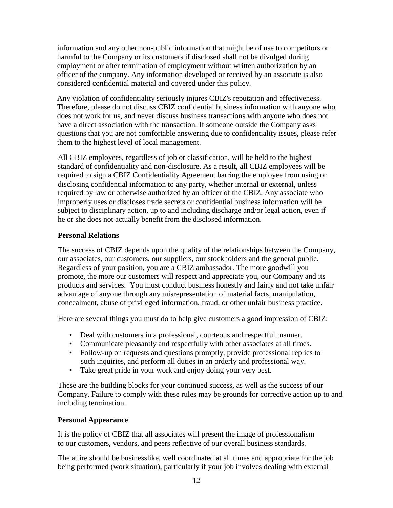information and any other non-public information that might be of use to competitors or harmful to the Company or its customers if disclosed shall not be divulged during employment or after termination of employment without written authorization by an officer of the company. Any information developed or received by an associate is also considered confidential material and covered under this policy.

Any violation of confidentiality seriously injures CBIZ's reputation and effectiveness. Therefore, please do not discuss CBIZ confidential business information with anyone who does not work for us, and never discuss business transactions with anyone who does not have a direct association with the transaction. If someone outside the Company asks questions that you are not comfortable answering due to confidentiality issues, please refer them to the highest level of local management.

All CBIZ employees, regardless of job or classification, will be held to the highest standard of confidentiality and non-disclosure. As a result, all CBIZ employees will be required to sign a CBIZ Confidentiality Agreement barring the employee from using or disclosing confidential information to any party, whether internal or external, unless required by law or otherwise authorized by an officer of the CBIZ. Any associate who improperly uses or discloses trade secrets or confidential business information will be subject to disciplinary action, up to and including discharge and/or legal action, even if he or she does not actually benefit from the disclosed information.

### **Personal Relations**

The success of CBIZ depends upon the quality of the relationships between the Company, our associates, our customers, our suppliers, our stockholders and the general public. Regardless of your position, you are a CBIZ ambassador. The more goodwill you promote, the more our customers will respect and appreciate you, our Company and its products and services. You must conduct business honestly and fairly and not take unfair advantage of anyone through any misrepresentation of material facts, manipulation, concealment, abuse of privileged information, fraud, or other unfair business practice.

Here are several things you must do to help give customers a good impression of CBIZ:

- Deal with customers in a professional, courteous and respectful manner.
- Communicate pleasantly and respectfully with other associates at all times.
- Follow-up on requests and questions promptly, provide professional replies to such inquiries, and perform all duties in an orderly and professional way.
- Take great pride in your work and enjoy doing your very best.

These are the building blocks for your continued success, as well as the success of our Company. Failure to comply with these rules may be grounds for corrective action up to and including termination.

# **Personal Appearance**

It is the policy of CBIZ that all associates will present the image of professionalism to our customers, vendors, and peers reflective of our overall business standards.

The attire should be businesslike, well coordinated at all times and appropriate for the job being performed (work situation), particularly if your job involves dealing with external